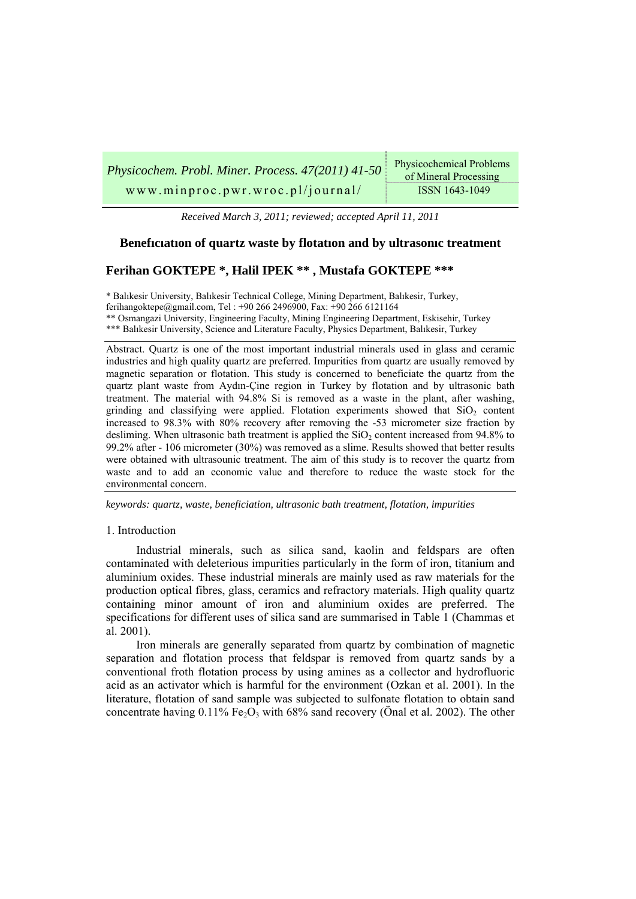| Physicochem. Probl. Miner. Process. 47(2011) 41-50 | <b>Physicochemical Problems</b><br>of Mineral Processing |
|----------------------------------------------------|----------------------------------------------------------|
| www.minproc.pwr.wroc.pl/journal/                   | ISSN 1643-1049                                           |

*Received March 3, 2011; reviewed; accepted April 11, 2011* 

# **Benefıcıatıon of quartz waste by flotatıon and by ultrasonıc treatment**

# **Ferihan GOKTEPE \*, Halil IPEK \*\* , Mustafa GOKTEPE \*\*\***

\* Balıkesir University, Balıkesir Technical College, Mining Department, Balıkesir, Turkey, ferihangoktepe@gmail.com, Tel : +90 266 2496900, Fax: +90 266 6121164 \*\* Osmangazi University, Engineering Faculty, Mining Engineering Department, Eskisehir, Turkey \*\*\* Balıkesir University, Science and Literature Faculty, Physics Department, Balıkesir, Turkey

Abstract. Quartz is one of the most important industrial minerals used in glass and ceramic industries and high quality quartz are preferred. Impurities from quartz are usually removed by magnetic separation or flotation. This study is concerned to beneficiate the quartz from the quartz plant waste from Aydın-Çine region in Turkey by flotation and by ultrasonic bath treatment. The material with 94.8% Si is removed as a waste in the plant, after washing, grinding and classifying were applied. Flotation experiments showed that  $SiO<sub>2</sub>$  content increased to 98.3% with 80% recovery after removing the -53 micrometer size fraction by desliming. When ultrasonic bath treatment is applied the  $SiO<sub>2</sub>$  content increased from  $94.8\%$  to 99.2% after - 106 micrometer (30%) was removed as a slime. Results showed that better results were obtained with ultrasounic treatment. The aim of this study is to recover the quartz from waste and to add an economic value and therefore to reduce the waste stock for the environmental concern.

*keywords: quartz, waste, beneficiation, ultrasonic bath treatment, flotation, impurities* 

#### 1. Introduction

Industrial minerals, such as silica sand, kaolin and feldspars are often contaminated with deleterious impurities particularly in the form of iron, titanium and aluminium oxides. These industrial minerals are mainly used as raw materials for the production optical fibres, glass, ceramics and refractory materials. High quality quartz containing minor amount of iron and aluminium oxides are preferred. The specifications for different uses of silica sand are summarised in Table 1 (Chammas et al. 2001).

Iron minerals are generally separated from quartz by combination of magnetic separation and flotation process that feldspar is removed from quartz sands by a conventional froth flotation process by using amines as a collector and hydrofluoric acid as an activator which is harmful for the environment (Ozkan et al. 2001). In the literature, flotation of sand sample was subjected to sulfonate flotation to obtain sand concentrate having  $0.11\%$  Fe<sub>2</sub>O<sub>3</sub> with 68% sand recovery (Önal et al. 2002). The other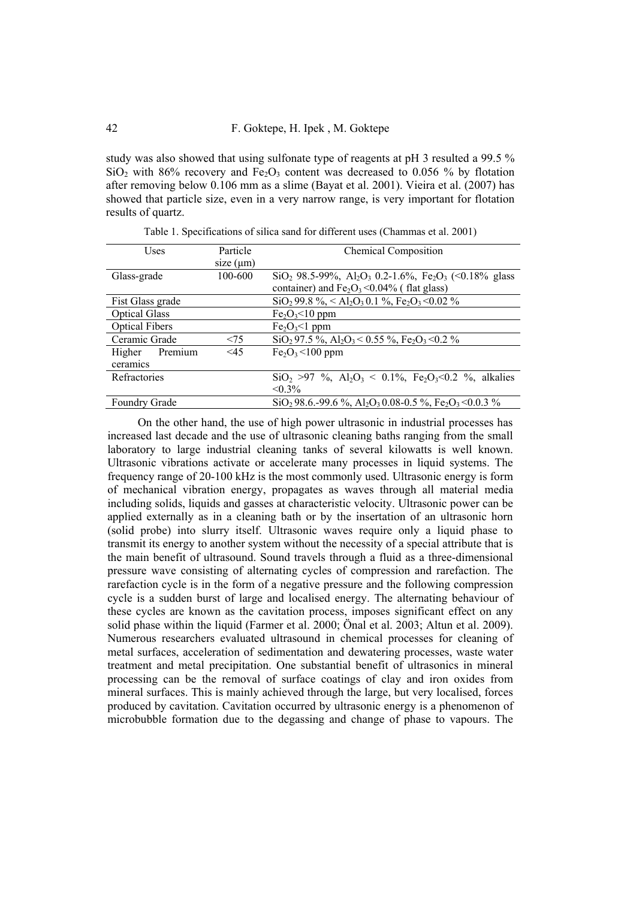study was also showed that using sulfonate type of reagents at pH 3 resulted a 99.5 %  $SiO<sub>2</sub>$  with 86% recovery and Fe<sub>2</sub>O<sub>3</sub> content was decreased to 0.056 % by flotation after removing below 0.106 mm as a slime (Bayat et al. 2001). Vieira et al. (2007) has showed that particle size, even in a very narrow range, is very important for flotation results of quartz.

| Uses                  | Particle       | <b>Chemical Composition</b>                                                                               |
|-----------------------|----------------|-----------------------------------------------------------------------------------------------------------|
|                       | size $(\mu m)$ |                                                                                                           |
| Glass-grade           | 100-600        | $SiO_2$ 98.5-99%, Al <sub>2</sub> O <sub>3</sub> 0.2-1.6%, Fe <sub>2</sub> O <sub>3</sub> (<0.18% glass   |
|                       |                | container) and $Fe2O3 < 0.04\%$ (flat glass)                                                              |
| Fist Glass grade      |                | $SiO_2$ 99.8 %, < Al <sub>2</sub> O <sub>3</sub> 0.1 %, Fe <sub>2</sub> O <sub>3</sub> < 0.02 %           |
| <b>Optical Glass</b>  |                | $Fe2O3<10$ ppm                                                                                            |
| <b>Optical Fibers</b> |                | $Fe2O3<1$ ppm                                                                                             |
| Ceramic Grade         | < 75           | $SiO_2$ 97.5 %, Al <sub>2</sub> O <sub>3</sub> < 0.55 %, Fe <sub>2</sub> O <sub>3</sub> < 0.2 %           |
| Premium<br>Higher     | $\leq 45$      | $Fe2O3< 100$ ppm                                                                                          |
| ceramics              |                |                                                                                                           |
| Refractories          |                | $SiO_2 > 97$ %, $Al_2O_3 < 0.1\%$ , $Fe_2O_3 < 0.2$ %, alkalies                                           |
|                       |                | $< 0.3\%$                                                                                                 |
| Foundry Grade         |                | $SiO_2$ 98.6.-99.6 %, Al <sub>2</sub> O <sub>3</sub> 0.08-0.5 %, Fe <sub>2</sub> O <sub>3</sub> < 0.0.3 % |

Table 1. Specifications of silica sand for different uses (Chammas et al. 2001)

On the other hand, the use of high power ultrasonic in industrial processes has increased last decade and the use of ultrasonic cleaning baths ranging from the small laboratory to large industrial cleaning tanks of several kilowatts is well known. Ultrasonic vibrations activate or accelerate many processes in liquid systems. The frequency range of 20-100 kHz is the most commonly used. Ultrasonic energy is form of mechanical vibration energy, propagates as waves through all material media including solids, liquids and gasses at characteristic velocity. Ultrasonic power can be applied externally as in a cleaning bath or by the insertation of an ultrasonic horn (solid probe) into slurry itself. Ultrasonic waves require only a liquid phase to transmit its energy to another system without the necessity of a special attribute that is the main benefit of ultrasound. Sound travels through a fluid as a three-dimensional pressure wave consisting of alternating cycles of compression and rarefaction. The rarefaction cycle is in the form of a negative pressure and the following compression cycle is a sudden burst of large and localised energy. The alternating behaviour of these cycles are known as the cavitation process, imposes significant effect on any solid phase within the liquid (Farmer et al. 2000; Önal et al. 2003; Altun et al. 2009). Numerous researchers evaluated ultrasound in chemical processes for cleaning of metal surfaces, acceleration of sedimentation and dewatering processes, waste water treatment and metal precipitation. One substantial benefit of ultrasonics in mineral processing can be the removal of surface coatings of clay and iron oxides from mineral surfaces. This is mainly achieved through the large, but very localised, forces produced by cavitation. Cavitation occurred by ultrasonic energy is a phenomenon of microbubble formation due to the degassing and change of phase to vapours. The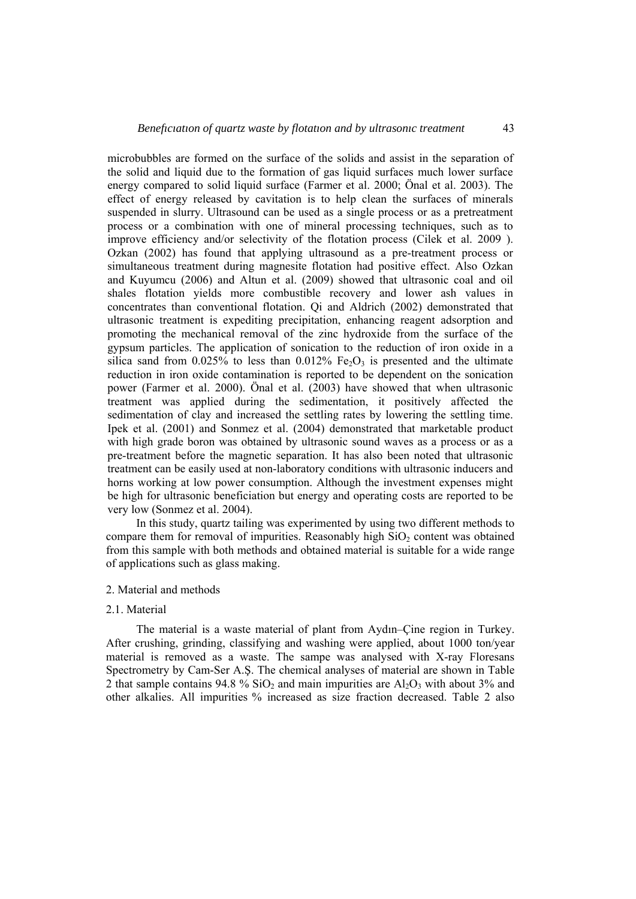microbubbles are formed on the surface of the solids and assist in the separation of the solid and liquid due to the formation of gas liquid surfaces much lower surface energy compared to solid liquid surface (Farmer et al. 2000; Önal et al. 2003). The effect of energy released by cavitation is to help clean the surfaces of minerals suspended in slurry. Ultrasound can be used as a single process or as a pretreatment process or a combination with one of mineral processing techniques, such as to improve efficiency and/or selectivity of the flotation process (Cilek et al. 2009 ). Ozkan (2002) has found that applying ultrasound as a pre-treatment process or simultaneous treatment during magnesite flotation had positive effect. Also Ozkan and Kuyumcu (2006) and Altun et al. (2009) showed that ultrasonic coal and oil shales flotation yields more combustible recovery and lower ash values in concentrates than conventional flotation. Qi and Aldrich (2002) demonstrated that ultrasonic treatment is expediting precipitation, enhancing reagent adsorption and promoting the mechanical removal of the zinc hydroxide from the surface of the gypsum particles. The application of sonication to the reduction of iron oxide in a silica sand from 0.025% to less than 0.012% Fe<sub>2</sub>O<sub>3</sub> is presented and the ultimate reduction in iron oxide contamination is reported to be dependent on the sonication power (Farmer et al. 2000). Önal et al. (2003) have showed that when ultrasonic treatment was applied during the sedimentation, it positively affected the sedimentation of clay and increased the settling rates by lowering the settling time. Ipek et al. (2001) and Sonmez et al. (2004) demonstrated that marketable product with high grade boron was obtained by ultrasonic sound waves as a process or as a pre-treatment before the magnetic separation. It has also been noted that ultrasonic treatment can be easily used at non-laboratory conditions with ultrasonic inducers and horns working at low power consumption. Although the investment expenses might be high for ultrasonic beneficiation but energy and operating costs are reported to be very low (Sonmez et al. 2004).

In this study, quartz tailing was experimented by using two different methods to compare them for removal of impurities. Reasonably high  $SiO<sub>2</sub>$  content was obtained from this sample with both methods and obtained material is suitable for a wide range of applications such as glass making.

#### 2. Material and methods

#### 2.1. Material

The material is a waste material of plant from Aydın–Çine region in Turkey. After crushing, grinding, classifying and washing were applied, about 1000 ton/year material is removed as a waste. The sampe was analysed with X-ray Floresans Spectrometry by Cam-Ser A.Ş. The chemical analyses of material are shown in Table 2 that sample contains 94.8 % SiO<sub>2</sub> and main impurities are  $A_1O_3$  with about 3% and other alkalies. All impurities % increased as size fraction decreased. Table 2 also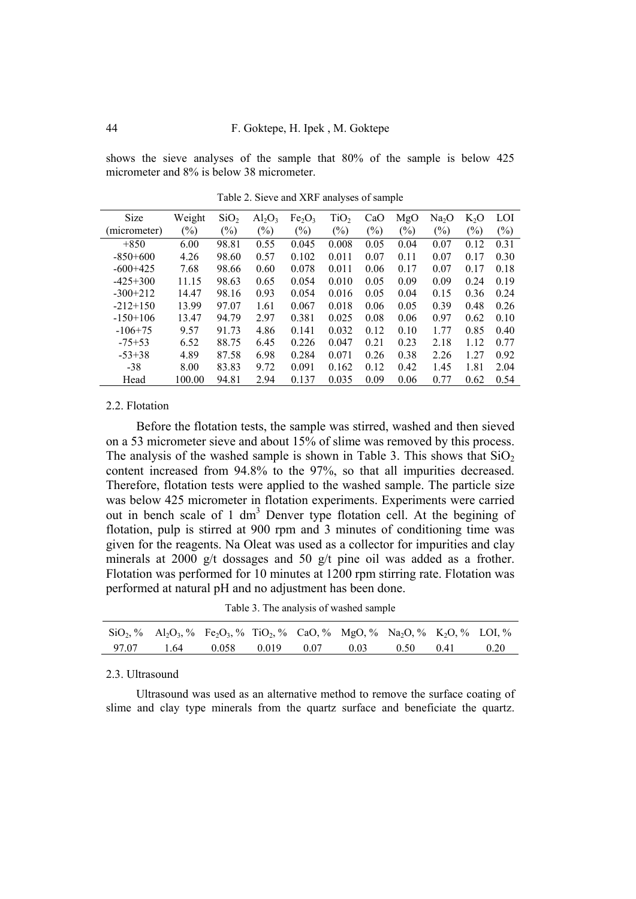shows the sieve analyses of the sample that 80% of the sample is below 425 micrometer and 8% is below 38 micrometer.

| Size         | Weight                     | SiO <sub>2</sub> | $Al_2O_3$ | Fe <sub>2</sub> O <sub>3</sub> | TiO <sub>2</sub> | CaO           | MgO    | Na <sub>2</sub> O | $K_2O$ | LOI    |
|--------------|----------------------------|------------------|-----------|--------------------------------|------------------|---------------|--------|-------------------|--------|--------|
| (micrometer) | $\left(\frac{0}{0}\right)$ | $(\%)$           | $(\%)$    | $(\%)$                         | $(\%)$           | $\frac{6}{2}$ | $(\%)$ | $(\%)$            | (%)    | $(\%)$ |
| $+850$       | 6.00                       | 98.81            | 0.55      | 0.045                          | 0.008            | 0.05          | 0.04   | 0.07              | 0.12   | 0.31   |
| $-850+600$   | 4.26                       | 98.60            | 0.57      | 0.102                          | 0.011            | 0.07          | 0.11   | 0.07              | 0.17   | 0.30   |
| $-600+425$   | 7.68                       | 98.66            | 0.60      | 0.078                          | 0.011            | 0.06          | 0.17   | 0.07              | 0.17   | 0.18   |
| $-425+300$   | 11.15                      | 98.63            | 0.65      | 0.054                          | 0.010            | 0.05          | 0.09   | 0.09              | 0.24   | 0.19   |
| $-300+212$   | 14.47                      | 98.16            | 0.93      | 0.054                          | 0.016            | 0.05          | 0.04   | 0.15              | 0.36   | 0.24   |
| $-212+150$   | 13.99                      | 97.07            | 1.61      | 0.067                          | 0.018            | 0.06          | 0.05   | 0.39              | 0.48   | 0.26   |
| $-150+106$   | 13.47                      | 94.79            | 2.97      | 0.381                          | 0.025            | 0.08          | 0.06   | 0.97              | 0.62   | 0.10   |
| $-106+75$    | 9.57                       | 91.73            | 4.86      | 0.141                          | 0.032            | 0.12          | 0.10   | 1.77              | 0.85   | 0.40   |
| $-75+53$     | 6.52                       | 88.75            | 6.45      | 0.226                          | 0.047            | 0.21          | 0.23   | 2.18              | 1 1 2  | 0.77   |
| $-53+38$     | 4.89                       | 87.58            | 6.98      | 0.284                          | 0.071            | 0.26          | 0.38   | 2.26              | 1.27   | 0.92   |
| $-38$        | 8.00                       | 83.83            | 9.72      | 0.091                          | 0.162            | 0.12          | 0.42   | 1.45              | 1.81   | 2.04   |
| Head         | 100.00                     | 94.81            | 2.94      | 0.137                          | 0.035            | 0.09          | 0.06   | 0.77              | 0.62   | 0.54   |

Table 2. Sieve and XRF analyses of sample

### 2.2. Flotation

Before the flotation tests, the sample was stirred, washed and then sieved on a 53 micrometer sieve and about 15% of slime was removed by this process. The analysis of the washed sample is shown in Table 3. This shows that  $SiO<sub>2</sub>$ content increased from 94.8% to the 97%, so that all impurities decreased. Therefore, flotation tests were applied to the washed sample. The particle size was below 425 micrometer in flotation experiments. Experiments were carried out in bench scale of 1 dm<sup>3</sup> Denver type flotation cell. At the begining of flotation, pulp is stirred at 900 rpm and 3 minutes of conditioning time was given for the reagents. Na Oleat was used as a collector for impurities and clay minerals at 2000 g/t dossages and 50 g/t pine oil was added as a frother. Flotation was performed for 10 minutes at 1200 rpm stirring rate. Flotation was performed at natural pH and no adjustment has been done.

Table 3. The analysis of washed sample

| $\text{SiO}_2$ , % Al <sub>2</sub> O <sub>3</sub> , % Fe <sub>2</sub> O <sub>3</sub> , % TiO <sub>2</sub> , % CaO, % MgO, % Na <sub>2</sub> O, % K <sub>2</sub> O, % LOI, % |  |  |  |  |
|-----------------------------------------------------------------------------------------------------------------------------------------------------------------------------|--|--|--|--|
| 97.07 1.64 0.058 0.019 0.07 0.03 0.50 0.41 0.20                                                                                                                             |  |  |  |  |

#### 2.3. Ultrasound

Ultrasound was used as an alternative method to remove the surface coating of slime and clay type minerals from the quartz surface and beneficiate the quartz.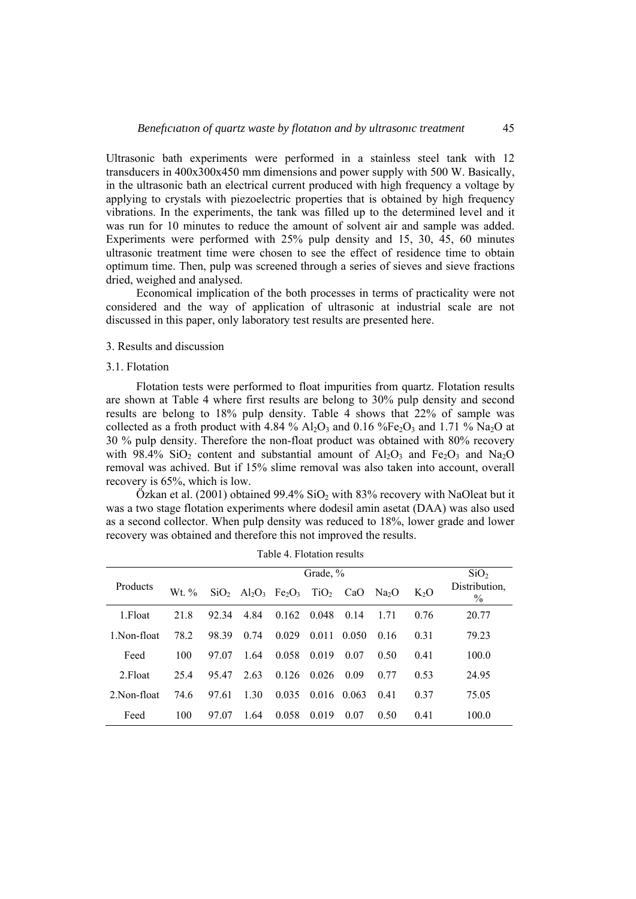Ultrasonic bath experiments were performed in a stainless steel tank with 12 transducers in 400x300x450 mm dimensions and power supply with 500 W. Basically, in the ultrasonic bath an electrical current produced with high frequency a voltage by applying to crystals with piezoelectric properties that is obtained by high frequency vibrations. In the experiments, the tank was filled up to the determined level and it was run for 10 minutes to reduce the amount of solvent air and sample was added. Experiments were performed with 25% pulp density and 15, 30, 45, 60 minutes ultrasonic treatment time were chosen to see the effect of residence time to obtain optimum time. Then, pulp was screened through a series of sieves and sieve fractions dried, weighed and analysed.

Economical implication of the both processes in terms of practicality were not considered and the way of application of ultrasonic at industrial scale are not discussed in this paper, only laboratory test results are presented here.

## 3. Results and discussion

#### 3.1. Flotation

Flotation tests were performed to float impurities from quartz. Flotation results are shown at Table 4 where first results are belong to 30% pulp density and second results are belong to 18% pulp density. Table 4 shows that 22% of sample was collected as a froth product with 4.84 % Al<sub>2</sub>O<sub>3</sub> and 0.16 %Fe<sub>2</sub>O<sub>3</sub> and 1.71 % Na<sub>2</sub>O at 30 % pulp density. Therefore the non-float product was obtained with 80% recovery with 98.4%  $SiO_2$  content and substantial amount of  $Al_2O_3$  and  $Fe_2O_3$  and Na<sub>2</sub>O removal was achived. But if 15% slime removal was also taken into account, overall recovery is 65%, which is low.

Özkan et al. (2001) obtained  $99.4\%$  SiO<sub>2</sub> with 83% recovery with NaOleat but it was a two stage flotation experiments where dodesil amin asetat (DAA) was also used as a second collector. When pulp density was reduced to 18%, lower grade and lower recovery was obtained and therefore this not improved the results.

|              |       | SiO <sub>2</sub> |                                                                       |       |                  |       |                   |                  |                                |
|--------------|-------|------------------|-----------------------------------------------------------------------|-------|------------------|-------|-------------------|------------------|--------------------------------|
| Products     | Wt. % |                  | $SiO_2$ Al <sub>2</sub> O <sub>3</sub> Fe <sub>2</sub> O <sub>3</sub> |       | TiO <sub>2</sub> | CaO   | Na <sub>2</sub> O | K <sub>2</sub> O | Distribution,<br>$\frac{0}{0}$ |
| 1. Float     | 21.8  | 92.34            | 4.84                                                                  | 0.162 | 0.048            | 0.14  | 1 7 1             | 0.76             | 20.77                          |
| 1. Non-float | 78.2  | 98.39            | 0.74                                                                  | 0.029 | 0 0 1 1          | 0.050 | 0.16              | 0.31             | 79.23                          |
| Feed         | 100   | 97.07            | 1.64                                                                  | 0.058 | 0.019            | 0.07  | 0.50              | 0.41             | 100.0                          |
| 2. Float     | 25.4  | 95.47            | 2.63                                                                  | 0.126 | 0.026            | 0.09  | 0.77              | 0.53             | 24.95                          |
| 2 Non-float  | 74.6  | 97.61            | 1 30                                                                  | 0.035 | 0.016            | 0.063 | 0.41              | 0.37             | 75.05                          |
| Feed         | 100   | 97.07            | 1.64                                                                  | 0.058 | 0.019            | 0.07  | 0.50              | 0.41             | 100.0                          |

Table 4. Flotation results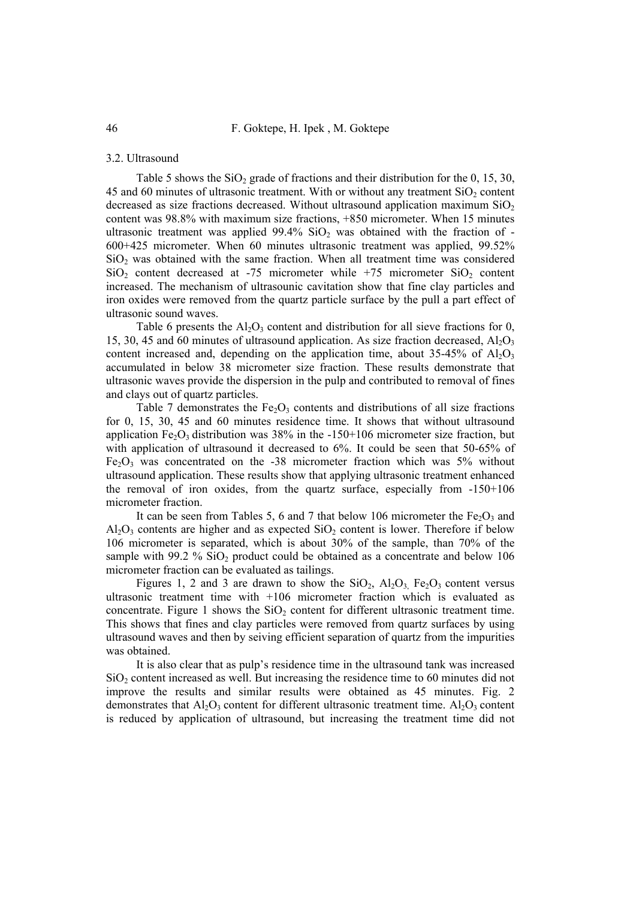## 3.2. Ultrasound

Table 5 shows the  $SiO<sub>2</sub>$  grade of fractions and their distribution for the 0, 15, 30, 45 and 60 minutes of ultrasonic treatment. With or without any treatment  $SiO<sub>2</sub>$  content decreased as size fractions decreased. Without ultrasound application maximum  $SiO<sub>2</sub>$ content was 98.8% with maximum size fractions, +850 micrometer. When 15 minutes ultrasonic treatment was applied  $99.4\%$  SiO<sub>2</sub> was obtained with the fraction of -600+425 micrometer. When 60 minutes ultrasonic treatment was applied, 99.52%  $SiO<sub>2</sub>$  was obtained with the same fraction. When all treatment time was considered  $SiO<sub>2</sub>$  content decreased at -75 micrometer while +75 micrometer  $SiO<sub>2</sub>$  content increased. The mechanism of ultrasounic cavitation show that fine clay particles and iron oxides were removed from the quartz particle surface by the pull a part effect of ultrasonic sound waves.

Table 6 presents the  $Al_2O_3$  content and distribution for all sieve fractions for 0, 15, 30, 45 and 60 minutes of ultrasound application. As size fraction decreased,  $Al_2O_3$ content increased and, depending on the application time, about  $35-45\%$  of  $Al_2O_3$ accumulated in below 38 micrometer size fraction. These results demonstrate that ultrasonic waves provide the dispersion in the pulp and contributed to removal of fines and clays out of quartz particles.

Table 7 demonstrates the Fe<sub>2</sub>O<sub>3</sub> contents and distributions of all size fractions for 0, 15, 30, 45 and 60 minutes residence time. It shows that without ultrasound application Fe<sub>2</sub>O<sub>3</sub> distribution was 38% in the  $-150+106$  micrometer size fraction, but with application of ultrasound it decreased to 6%. It could be seen that 50-65% of  $Fe<sub>2</sub>O<sub>3</sub>$  was concentrated on the -38 micrometer fraction which was 5% without ultrasound application. These results show that applying ultrasonic treatment enhanced the removal of iron oxides, from the quartz surface, especially from -150+106 micrometer fraction.

It can be seen from Tables 5, 6 and 7 that below 106 micrometer the  $Fe<sub>2</sub>O<sub>3</sub>$  and  $Al_2O_3$  contents are higher and as expected  $SiO_2$  content is lower. Therefore if below 106 micrometer is separated, which is about 30% of the sample, than 70% of the sample with 99.2 %  $SiO<sub>2</sub>$  product could be obtained as a concentrate and below 106 micrometer fraction can be evaluated as tailings.

Figures 1, 2 and 3 are drawn to show the  $SiO_2$ ,  $Al_2O_3$ ,  $Fe_2O_3$  content versus ultrasonic treatment time with +106 micrometer fraction which is evaluated as concentrate. Figure 1 shows the  $SiO<sub>2</sub>$  content for different ultrasonic treatment time. This shows that fines and clay particles were removed from quartz surfaces by using ultrasound waves and then by seiving efficient separation of quartz from the impurities was obtained.

It is also clear that as pulp's residence time in the ultrasound tank was increased  $SiO<sub>2</sub>$  content increased as well. But increasing the residence time to 60 minutes did not improve the results and similar results were obtained as 45 minutes. Fig. 2 demonstrates that  $A_1O_3$  content for different ultrasonic treatment time.  $A_1O_3$  content is reduced by application of ultrasound, but increasing the treatment time did not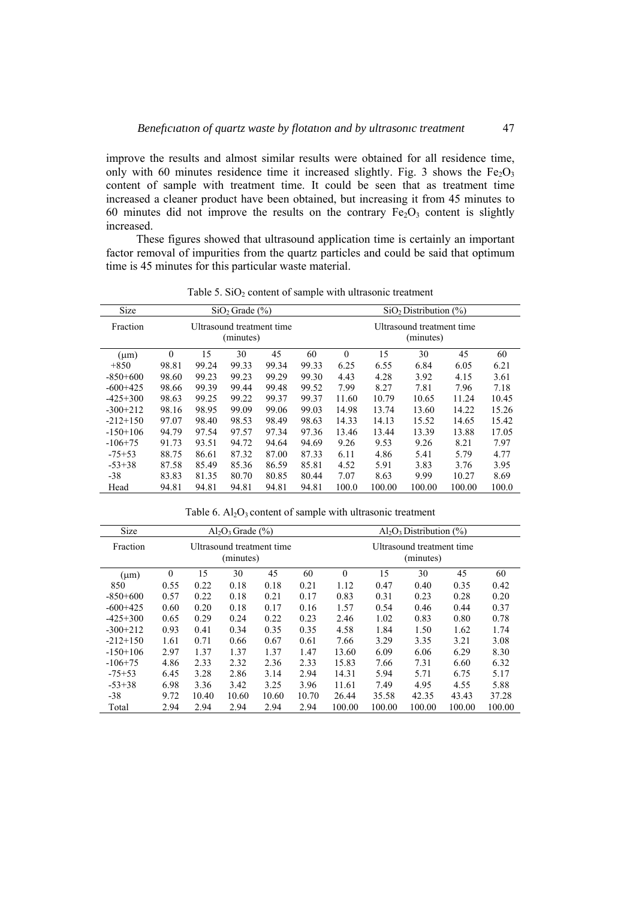improve the results and almost similar results were obtained for all residence time, only with 60 minutes residence time it increased slightly. Fig. 3 shows the  $Fe<sub>2</sub>O<sub>3</sub>$ content of sample with treatment time. It could be seen that as treatment time increased a cleaner product have been obtained, but increasing it from 45 minutes to 60 minutes did not improve the results on the contrary  $Fe<sub>2</sub>O<sub>3</sub>$  content is slightly increased.

These figures showed that ultrasound application time is certainly an important factor removal of impurities from the quartz particles and could be said that optimum time is 45 minutes for this particular waste material.

| Size       |                                                                                  | SiO <sub>2</sub> Distribution (%)<br>$SiO2$ Grade $(\% )$ |       |       |       |              |        |        |        |       |
|------------|----------------------------------------------------------------------------------|-----------------------------------------------------------|-------|-------|-------|--------------|--------|--------|--------|-------|
| Fraction   | Ultrasound treatment time<br>Ultrasound treatment time<br>(minutes)<br>(minutes) |                                                           |       |       |       |              |        |        |        |       |
| $(\mu m)$  | $\theta$                                                                         | 15                                                        | 30    | 45    | 60    | $\mathbf{0}$ | 15     | 30     | 45     | 60    |
| $+850$     | 98.81                                                                            | 99.24                                                     | 99.33 | 99.34 | 99.33 | 6.25         | 6.55   | 6.84   | 6.05   | 6.21  |
| $-850+600$ | 98.60                                                                            | 99.23                                                     | 99.23 | 99.29 | 99.30 | 4.43         | 4.28   | 3.92   | 4.15   | 3.61  |
| $-600+425$ | 98.66                                                                            | 99.39                                                     | 99.44 | 99.48 | 99.52 | 7.99         | 8.27   | 7.81   | 7.96   | 7.18  |
| $-425+300$ | 98.63                                                                            | 99.25                                                     | 99.22 | 99.37 | 99.37 | 11.60        | 10.79  | 10.65  | 11.24  | 10.45 |
| $-300+212$ | 98.16                                                                            | 98.95                                                     | 99.09 | 99.06 | 99.03 | 14.98        | 13.74  | 13.60  | 14.22  | 15.26 |
| $-212+150$ | 97.07                                                                            | 98.40                                                     | 98.53 | 98.49 | 98.63 | 14.33        | 14.13  | 15.52  | 14.65  | 15.42 |
| $-150+106$ | 94.79                                                                            | 97.54                                                     | 97.57 | 97.34 | 97.36 | 13.46        | 13.44  | 13.39  | 13.88  | 17.05 |
| $-106+75$  | 91.73                                                                            | 93.51                                                     | 94.72 | 94.64 | 94.69 | 9.26         | 9.53   | 9.26   | 8.21   | 7.97  |
| $-75+53$   | 88.75                                                                            | 86.61                                                     | 87.32 | 87.00 | 87.33 | 6.11         | 4.86   | 5.41   | 5.79   | 4.77  |
| $-53+38$   | 87.58                                                                            | 85.49                                                     | 85.36 | 86.59 | 85.81 | 4.52         | 5.91   | 3.83   | 3.76   | 3.95  |
| $-38$      | 83.83                                                                            | 81.35                                                     | 80.70 | 80.85 | 80.44 | 7.07         | 8.63   | 9.99   | 10.27  | 8.69  |
| Head       | 94.81                                                                            | 94.81                                                     | 94.81 | 94.81 | 94.81 | 100.0        | 100.00 | 100.00 | 100.00 | 100.0 |

Table 5.  $SiO<sub>2</sub>$  content of sample with ultrasonic treatment

| Size       | $Al_2O_3$ Grade $(\% )$                                                          |       |       |       |       |          |        | $Al_2O_3$ Distribution $(\% )$ |        |        |
|------------|----------------------------------------------------------------------------------|-------|-------|-------|-------|----------|--------|--------------------------------|--------|--------|
| Fraction   | Ultrasound treatment time<br>Ultrasound treatment time<br>(minutes)<br>(minutes) |       |       |       |       |          |        |                                |        |        |
| $(\mu m)$  | $\theta$                                                                         | 15    | 30    | 45    | 60    | $\theta$ | 15     | 30                             | 45     | 60     |
| 850        | 0.55                                                                             | 0.22  | 0.18  | 0.18  | 0.21  | 1.12     | 0.47   | 0.40                           | 0.35   | 0.42   |
| $-850+600$ | 0.57                                                                             | 0.22  | 0.18  | 0.21  | 0.17  | 0.83     | 0.31   | 0.23                           | 0.28   | 0.20   |
| $-600+425$ | 0.60                                                                             | 0.20  | 0.18  | 0.17  | 0.16  | 1.57     | 0.54   | 0.46                           | 0.44   | 0.37   |
| $-425+300$ | 0.65                                                                             | 0.29  | 0.24  | 0.22  | 0.23  | 2.46     | 1.02   | 0.83                           | 0.80   | 0.78   |
| $-300+212$ | 0.93                                                                             | 0.41  | 0.34  | 0.35  | 0.35  | 4.58     | 1.84   | 1.50                           | 1.62   | 1.74   |
| $-212+150$ | 1.61                                                                             | 0.71  | 0.66  | 0.67  | 0.61  | 7.66     | 3.29   | 3.35                           | 3.21   | 3.08   |
| $-150+106$ | 2.97                                                                             | 1.37  | 1.37  | 1.37  | 1.47  | 13.60    | 6.09   | 6.06                           | 6.29   | 8.30   |
| $-106+75$  | 4.86                                                                             | 2.33  | 2.32  | 2.36  | 2.33  | 15.83    | 7.66   | 7.31                           | 6.60   | 6.32   |
| $-75+53$   | 6.45                                                                             | 3.28  | 2.86  | 3.14  | 2.94  | 14.31    | 5.94   | 5.71                           | 6.75   | 5.17   |
| $-53+38$   | 6.98                                                                             | 3.36  | 3.42  | 3.25  | 3.96  | 11.61    | 7.49   | 4.95                           | 4.55   | 5.88   |
| $-38$      | 9.72                                                                             | 10.40 | 10.60 | 10.60 | 10.70 | 26.44    | 35.58  | 42.35                          | 43.43  | 37.28  |
| Total      | 2.94                                                                             | 2.94  | 2.94  | 2.94  | 2.94  | 100.00   | 100.00 | 100.00                         | 100.00 | 100.00 |

Table 6.  $\text{Al}_2\text{O}_3$  content of sample with ultrasonic treatment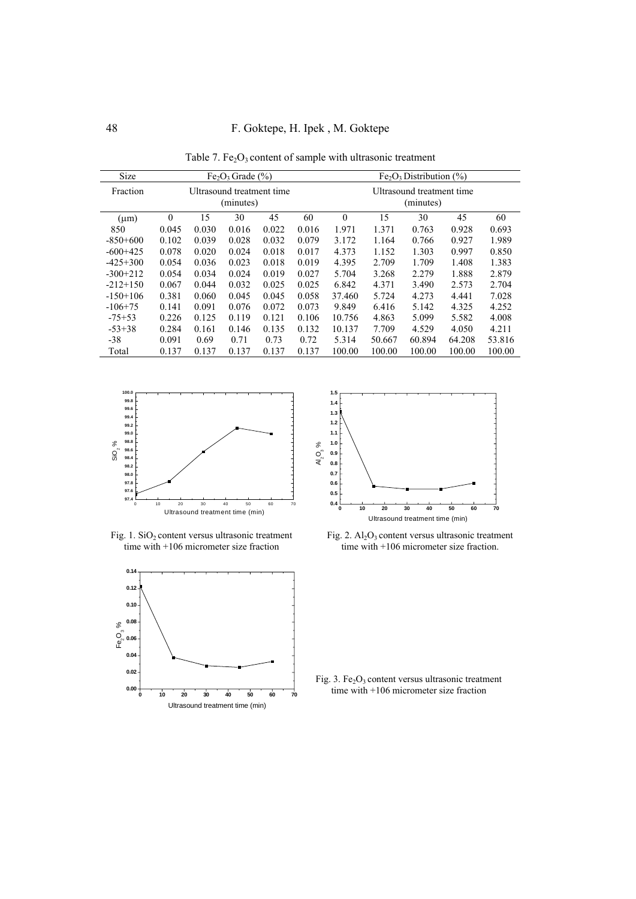48 F. Goktepe, H. Ipek , M. Goktepe

| Table 7. $Fe2O3$ content of sample with ultrasonic treatment |  |  |  |
|--------------------------------------------------------------|--|--|--|
|--------------------------------------------------------------|--|--|--|

| Size       | $Fe2O3$ Grade (%)                      |       |       |       |       |          | $Fe2O3 Distribution (%)$               |        |        |        |  |
|------------|----------------------------------------|-------|-------|-------|-------|----------|----------------------------------------|--------|--------|--------|--|
| Fraction   | Ultrasound treatment time<br>(minutes) |       |       |       |       |          | Ultrasound treatment time<br>(minutes) |        |        |        |  |
| $(\mu m)$  | $\theta$                               | 15    | 30    | 45    | 60    | $\theta$ | 15                                     | 30     | 45     | 60     |  |
| 850        | 0.045                                  | 0.030 | 0.016 | 0.022 | 0.016 | 1.971    | 1.371                                  | 0.763  | 0.928  | 0.693  |  |
| $-850+600$ | 0.102                                  | 0.039 | 0.028 | 0.032 | 0.079 | 3.172    | 1.164                                  | 0.766  | 0.927  | 1.989  |  |
| $-600+425$ | 0.078                                  | 0.020 | 0.024 | 0.018 | 0.017 | 4.373    | 1.152                                  | 1.303  | 0.997  | 0.850  |  |
| $-425+300$ | 0.054                                  | 0.036 | 0.023 | 0.018 | 0.019 | 4.395    | 2.709                                  | 1.709  | 1.408  | 1.383  |  |
| $-300+212$ | 0.054                                  | 0.034 | 0.024 | 0.019 | 0.027 | 5.704    | 3.268                                  | 2.279  | 1.888  | 2.879  |  |
| $-212+150$ | 0.067                                  | 0.044 | 0.032 | 0.025 | 0.025 | 6.842    | 4.371                                  | 3.490  | 2.573  | 2.704  |  |
| $-150+106$ | 0.381                                  | 0.060 | 0.045 | 0.045 | 0.058 | 37.460   | 5.724                                  | 4.273  | 4.441  | 7.028  |  |
| $-106+75$  | 0.141                                  | 0.091 | 0.076 | 0.072 | 0.073 | 9.849    | 6.416                                  | 5.142  | 4.325  | 4.252  |  |
| $-75+53$   | 0.226                                  | 0.125 | 0.119 | 0.121 | 0.106 | 10.756   | 4.863                                  | 5.099  | 5.582  | 4.008  |  |
| $-53+38$   | 0.284                                  | 0.161 | 0.146 | 0.135 | 0.132 | 10.137   | 7.709                                  | 4.529  | 4.050  | 4.211  |  |
| $-38$      | 0.091                                  | 0.69  | 0.71  | 0.73  | 0.72  | 5.314    | 50.667                                 | 60.894 | 64.208 | 53.816 |  |
| Total      | 0.137                                  | 0.137 | 0.137 | 0.137 | 0.137 | 100.00   | 100.00                                 | 100.00 | 100.00 | 100.00 |  |



Fig.  $1.$  SiO<sub>2</sub> content versus ultrasonic treatment time with +106 micrometer size fraction





Fig. 2.  $\text{Al}_2\text{O}_3$  content versus ultrasonic treatment time with +106 micrometer size fraction.

Fig. 3. Fe<sub>2</sub>O<sub>3</sub> content versus ultrasonic treatment time with +106 micrometer size fraction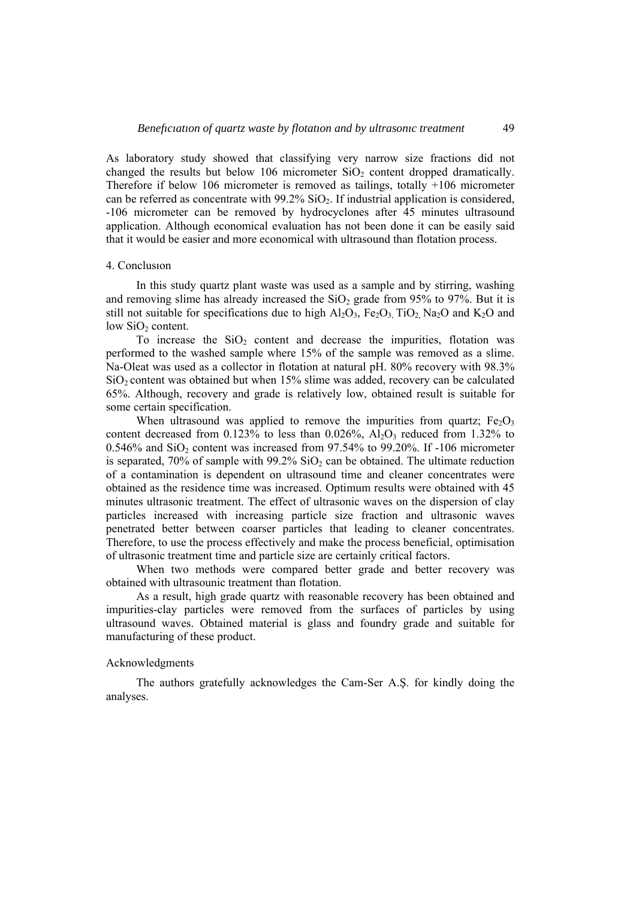As laboratory study showed that classifying very narrow size fractions did not changed the results but below 106 micrometer  $SiO<sub>2</sub>$  content dropped dramatically. Therefore if below 106 micrometer is removed as tailings, totally +106 micrometer can be referred as concentrate with  $99.2\%$  SiO<sub>2</sub>. If industrial application is considered, -106 micrometer can be removed by hydrocyclones after 45 minutes ultrasound application. Although economical evaluation has not been done it can be easily said that it would be easier and more economical with ultrasound than flotation process.

#### 4. Conclusıon

In this study quartz plant waste was used as a sample and by stirring, washing and removing slime has already increased the  $SiO<sub>2</sub>$  grade from 95% to 97%. But it is still not suitable for specifications due to high  $Al_2O_3$ , Fe<sub>2</sub>O<sub>3</sub>, TiO<sub>2</sub>, Na<sub>2</sub>O and K<sub>2</sub>O and low SiO<sub>2</sub> content.

To increase the  $SiO<sub>2</sub>$  content and decrease the impurities, flotation was performed to the washed sample where 15% of the sample was removed as a slime. Na-Oleat was used as a collector in flotation at natural pH. 80% recovery with 98.3%  $SiO<sub>2</sub>$  content was obtained but when 15% slime was added, recovery can be calculated 65%. Although, recovery and grade is relatively low, obtained result is suitable for some certain specification.

When ultrasound was applied to remove the impurities from quartz;  $Fe<sub>2</sub>O<sub>3</sub>$ content decreased from  $0.123\%$  to less than  $0.026\%$ ,  $Al_2O_3$  reduced from 1.32% to  $0.546\%$  and  $SiO<sub>2</sub>$  content was increased from 97.54% to 99.20%. If -106 micrometer is separated, 70% of sample with 99.2%  $SiO<sub>2</sub>$  can be obtained. The ultimate reduction of a contamination is dependent on ultrasound time and cleaner concentrates were obtained as the residence time was increased. Optimum results were obtained with 45 minutes ultrasonic treatment. The effect of ultrasonic waves on the dispersion of clay particles increased with increasing particle size fraction and ultrasonic waves penetrated better between coarser particles that leading to cleaner concentrates. Therefore, to use the process effectively and make the process beneficial, optimisation of ultrasonic treatment time and particle size are certainly critical factors.

When two methods were compared better grade and better recovery was obtained with ultrasounic treatment than flotation.

As a result, high grade quartz with reasonable recovery has been obtained and impurities-clay particles were removed from the surfaces of particles by using ultrasound waves. Obtained material is glass and foundry grade and suitable for manufacturing of these product.

### Acknowledgments

The authors gratefully acknowledges the Cam-Ser A.Ş. for kindly doing the analyses.